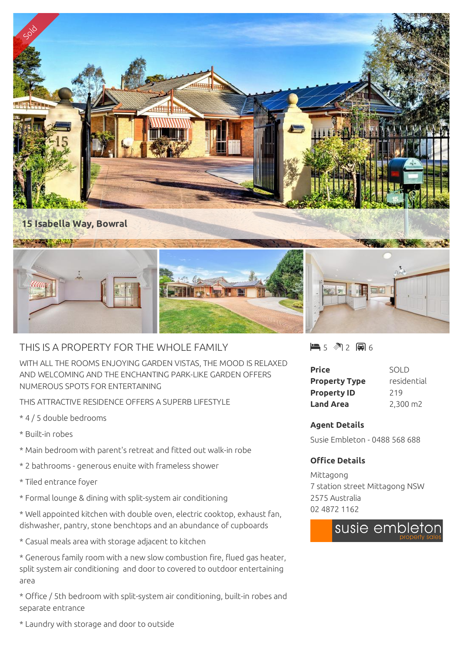

## THIS IS A PROPERTY FOR THE WHOLE FAMILY

WITH ALL THE ROOMS ENJOYING GARDEN VISTAS, THE MOOD IS RELAXED AND WELCOMING AND THE ENCHANTING PARK-LIKE GARDEN OFFERS NUMEROUS SPOTS FOR ENTERTAINING

THIS ATTRACTIVE RESIDENCE OFFERS A SUPERB LIFESTYLE

- \* 4 / 5 double bedrooms
- \* Built-in robes
- \* Main bedroom with parent's retreat and fitted out walk-in robe
- \* 2 bathrooms generous enuite with frameless shower
- \* Tiled entrance foyer
- \* Formal lounge & dining with split-system air conditioning

\* Well appointed kitchen with double oven, electric cooktop, exhaust fan, dishwasher, pantry, stone benchtops and an abundance of cupboards

\* Casual meals area with storage adjacent to kitchen

\* Generous family room with a new slow combustion fire, flued gas heater, split system air conditioning and door to covered to outdoor entertaining area

\* Office / 5th bedroom with split-system air conditioning, built-in robes and separate entrance

■5 图2 圓6

| Price                | SOLD               |
|----------------------|--------------------|
| <b>Property Type</b> | residential        |
| <b>Property ID</b>   | 219                |
| <b>Land Area</b>     | $2,300 \text{ m2}$ |

## **Agent Details**

Susie Embleton - 0488 568 688

## **Office Details**

Mittagong 7 station street Mittagong NSW 2575 Australia 02 4872 1162



\* Laundry with storage and door to outside